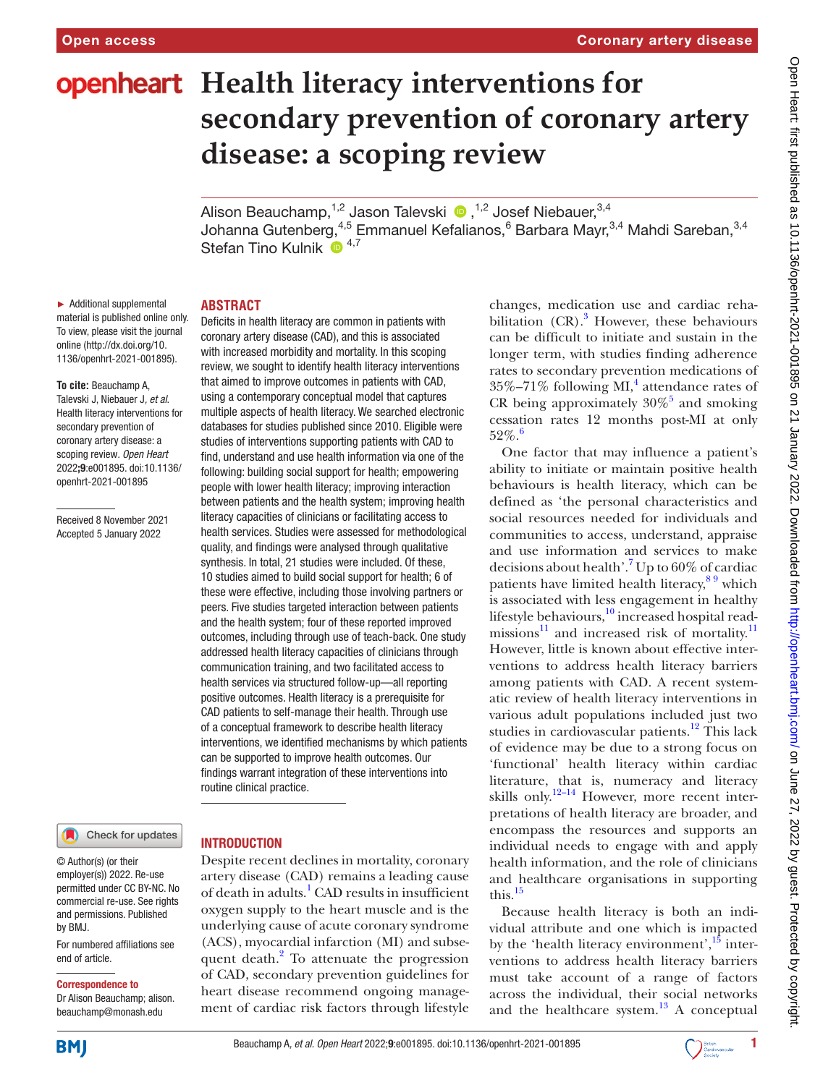# **openheart** Health literacy interventions for **secondary prevention of coronary artery disease: a scoping review**

Alison Beauchamp, $^{1,2}$  Jason Talevski  $\cdot$  ,  $^{1,2}$  Josef Niebauer, $^{3,4}$ Johanna Gutenberg,<sup>4,5</sup> Emmanuel Kefalianos,<sup>6</sup> Barbara Mayr,<sup>3,4</sup> Mahdi Sareban,<sup>3,4</sup> Stefan Tino Kulnik <sup>6</sup><sup>4,7</sup>

► Additional supplemental material is published online only. To view, please visit the journal online [\(http://dx.doi.org/10.](http://dx.doi.org/10.1136/openhrt-2021-001895) [1136/openhrt-2021-001895\)](http://dx.doi.org/10.1136/openhrt-2021-001895).

**To cite:** Beauchamp A, Talevski J, Niebauer J*, et al*. Health literacy interventions for secondary prevention of coronary artery disease: a scoping review*. Open Heart* 2022;9:e001895. doi:10.1136/ openhrt-2021-001895

Received 8 November 2021 Accepted 5 January 2022

#### Check for updates

#### **INTRODUCTION**

**ABSTRACT**

© Author(s) (or their employer(s)) 2022. Re-use permitted under CC BY-NC. No commercial re-use. See rights and permissions. Published by BMJ.

For numbered affiliations see end of article.

#### Correspondence to

Dr Alison Beauchamp; alison. beauchamp@monash.edu

Deficits in health literacy are common in patients with coronary artery disease (CAD), and this is associated with increased morbidity and mortality. In this scoping review, we sought to identify health literacy interventions that aimed to improve outcomes in patients with CAD, using a contemporary conceptual model that captures multiple aspects of health literacy. We searched electronic databases for studies published since 2010. Eligible were studies of interventions supporting patients with CAD to find, understand and use health information via one of the following: building social support for health; empowering people with lower health literacy; improving interaction between patients and the health system; improving health literacy capacities of clinicians or facilitating access to health services. Studies were assessed for methodological quality, and findings were analysed through qualitative synthesis. In total, 21 studies were included. Of these, 10 studies aimed to build social support for health; 6 of these were effective, including those involving partners or peers. Five studies targeted interaction between patients and the health system; four of these reported improved outcomes, including through use of teach-back. One study addressed health literacy capacities of clinicians through communication training, and two facilitated access to health services via structured follow-up—all reporting positive outcomes. Health literacy is a prerequisite for CAD patients to self-manage their health. Through use of a conceptual framework to describe health literacy interventions, we identified mechanisms by which patients can be supported to improve health outcomes. Our findings warrant integration of these interventions into routine clinical practice.

Despite recent declines in mortality, coronary artery disease (CAD) remains a leading cause of death in adults.<sup>[1](#page-7-0)</sup> CAD results in insufficient oxygen supply to the heart muscle and is the underlying cause of acute coronary syndrome (ACS), myocardial infarction (MI) and subsequent death. $^{2}$  To attenuate the progression of CAD, secondary prevention guidelines for heart disease recommend ongoing management of cardiac risk factors through lifestyle

changes, medication use and cardiac rehabilitation  $(CR)$ .<sup>[3](#page-7-2)</sup> However, these behaviours can be difficult to initiate and sustain in the longer term, with studies finding adherence rates to secondary prevention medications of  $35\% - 71\%$  following MI,<sup>4</sup> attendance rates of CR being approximately  $30\%$ <sup>5</sup> and smoking cessation rates 12 months post-MI at only  $52\%$ .

One factor that may influence a patient's ability to initiate or maintain positive health behaviours is health literacy, which can be defined as 'the personal characteristics and social resources needed for individuals and communities to access, understand, appraise and use information and services to make decisions about health'.<sup>7</sup> Up to 60% of cardiac patients have limited health literacy,  $89$  which is associated with less engagement in healthy lifestyle behaviours, $10$  increased hospital readmissions $^{11}$  $^{11}$  $^{11}$  and increased risk of mortality.<sup>11</sup> However, little is known about effective interventions to address health literacy barriers among patients with CAD. A recent systematic review of health literacy interventions in various adult populations included just two studies in cardiovascular patients.<sup>[12](#page-8-2)</sup> This lack of evidence may be due to a strong focus on 'functional' health literacy within cardiac literature, that is, numeracy and literacy skills only.<sup>12–14</sup> However, more recent interpretations of health literacy are broader, and encompass the resources and supports an individual needs to engage with and apply health information, and the role of clinicians and healthcare organisations in supporting this.[15](#page-8-3)

Because health literacy is both an individual attribute and one which is impacted by the 'health literacy environment', $^{15}$  $^{15}$  $^{15}$  interventions to address health literacy barriers must take account of a range of factors across the individual, their social networks and the healthcare system. $13$  A conceptual

**BMJ** 

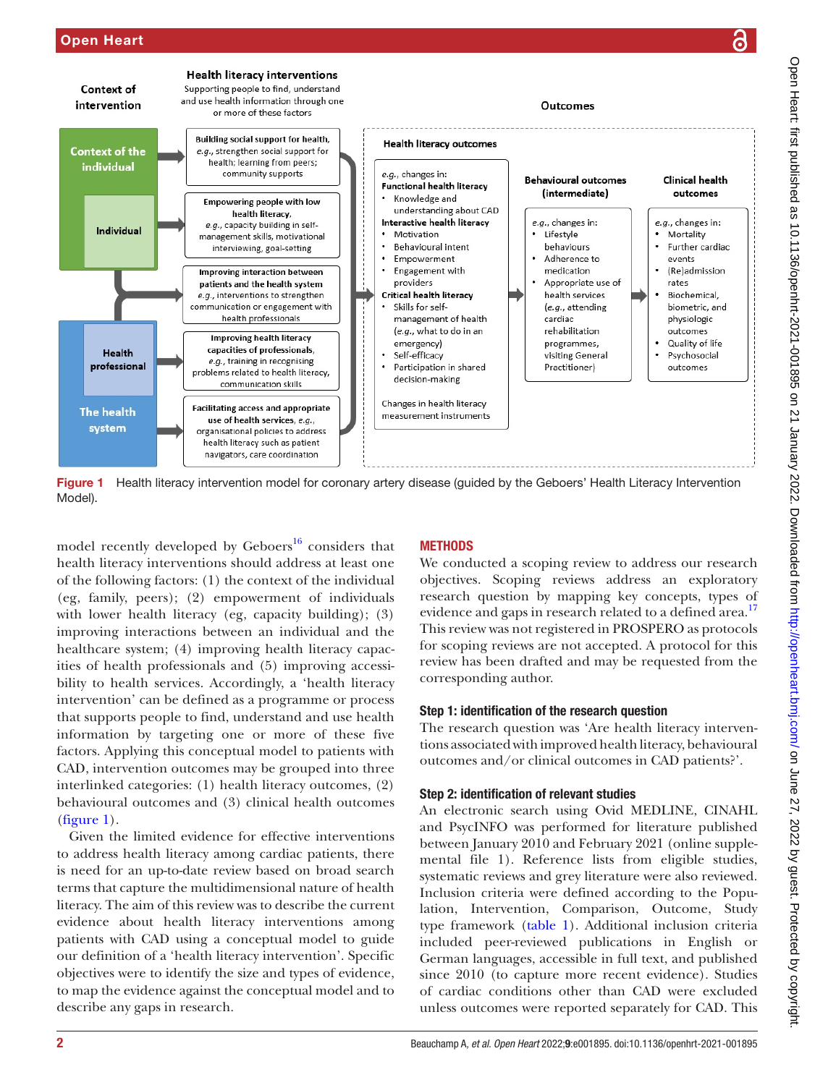

<span id="page-1-0"></span>Figure 1 Health literacy intervention model for coronary artery disease (guided by the Geboers' Health Literacy Intervention Model).

model recently developed by Geboers $^{16}$  considers that health literacy interventions should address at least one of the following factors: (1) the context of the individual (eg, family, peers); (2) empowerment of individuals with lower health literacy (eg, capacity building); (3) improving interactions between an individual and the healthcare system; (4) improving health literacy capacities of health professionals and (5) improving accessibility to health services. Accordingly, a 'health literacy intervention' can be defined as a programme or process that supports people to find, understand and use health information by targeting one or more of these five factors. Applying this conceptual model to patients with CAD, intervention outcomes may be grouped into three interlinked categories: (1) health literacy outcomes, (2) behavioural outcomes and (3) clinical health outcomes ([figure](#page-1-0) 1).

Given the limited evidence for effective interventions to address health literacy among cardiac patients, there is need for an up-to-date review based on broad search terms that capture the multidimensional nature of health literacy. The aim of this review was to describe the current evidence about health literacy interventions among patients with CAD using a conceptual model to guide our definition of a 'health literacy intervention'. Specific objectives were to identify the size and types of evidence, to map the evidence against the conceptual model and to describe any gaps in research.

# **METHODS**

We conducted a scoping review to address our research objectives. Scoping reviews address an exploratory research question by mapping key concepts, types of evidence and gaps in research related to a defined area.<sup>[17](#page-8-6)</sup> This review was not registered in PROSPERO as protocols for scoping reviews are not accepted. A protocol for this review has been drafted and may be requested from the corresponding author.

## Step 1: identification of the research question

The research question was 'Are health literacy interventions associated with improved health literacy, behavioural outcomes and/or clinical outcomes in CAD patients?'.

# Step 2: identification of relevant studies

An electronic search using Ovid MEDLINE, CINAHL and PsycINFO was performed for literature published between January 2010 and February 2021 [\(online supple](https://dx.doi.org/10.1136/openhrt-2021-001895)[mental file 1\)](https://dx.doi.org/10.1136/openhrt-2021-001895). Reference lists from eligible studies, systematic reviews and grey literature were also reviewed. Inclusion criteria were defined according to the Population, Intervention, Comparison, Outcome, Study type framework [\(table](#page-2-0) 1). Additional inclusion criteria included peer-reviewed publications in English or German languages, accessible in full text, and published since 2010 (to capture more recent evidence). Studies of cardiac conditions other than CAD were excluded unless outcomes were reported separately for CAD. This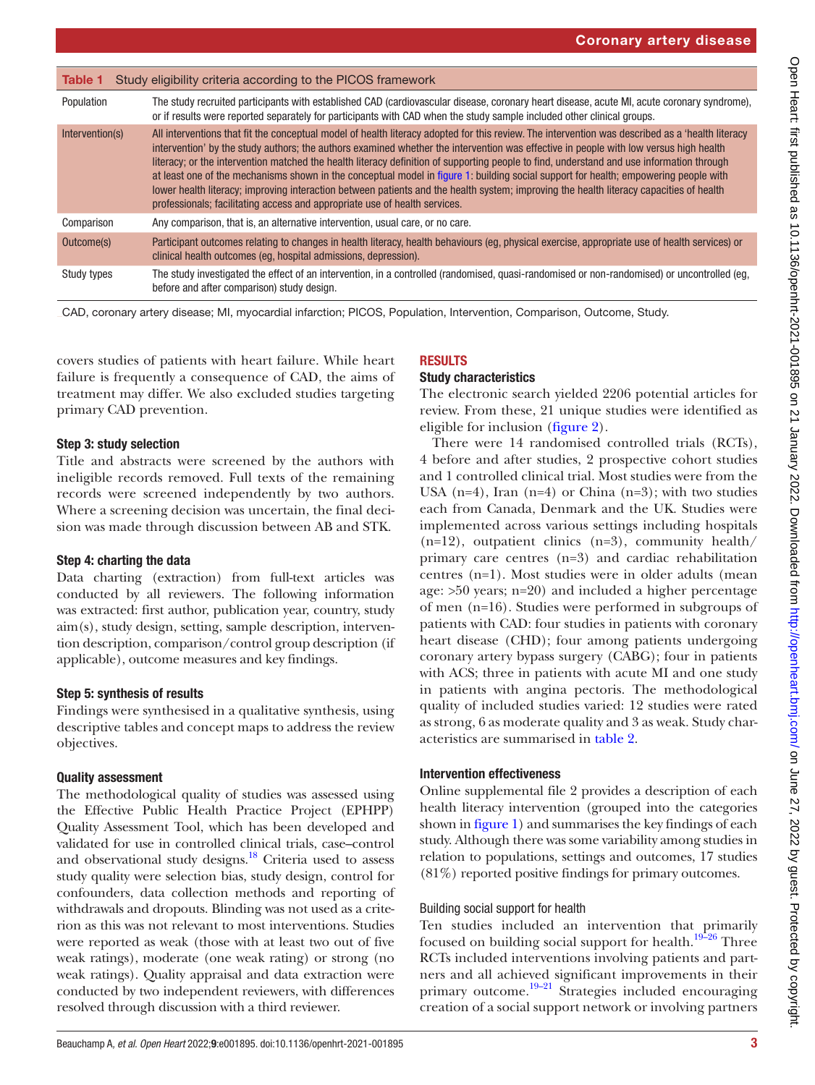<span id="page-2-0"></span>

| Table 1         | Study eligibility criteria according to the PICOS framework                                                                                                                                                                                                                                                                                                                                                                                                                                                                                                                                                                                                                                                                                                                                             |
|-----------------|---------------------------------------------------------------------------------------------------------------------------------------------------------------------------------------------------------------------------------------------------------------------------------------------------------------------------------------------------------------------------------------------------------------------------------------------------------------------------------------------------------------------------------------------------------------------------------------------------------------------------------------------------------------------------------------------------------------------------------------------------------------------------------------------------------|
| Population      | The study recruited participants with established CAD (cardiovascular disease, coronary heart disease, acute MI, acute coronary syndrome),<br>or if results were reported separately for participants with CAD when the study sample included other clinical groups.                                                                                                                                                                                                                                                                                                                                                                                                                                                                                                                                    |
| Intervention(s) | All interventions that fit the conceptual model of health literacy adopted for this review. The intervention was described as a 'health literacy<br>intervention' by the study authors; the authors examined whether the intervention was effective in people with low versus high health<br>literacy; or the intervention matched the health literacy definition of supporting people to find, understand and use information through<br>at least one of the mechanisms shown in the conceptual model in figure 1: building social support for health; empowering people with<br>lower health literacy; improving interaction between patients and the health system; improving the health literacy capacities of health<br>professionals; facilitating access and appropriate use of health services. |
| Comparison      | Any comparison, that is, an alternative intervention, usual care, or no care.                                                                                                                                                                                                                                                                                                                                                                                                                                                                                                                                                                                                                                                                                                                           |
| Outcome(s)      | Participant outcomes relating to changes in health literacy, health behaviours (eg, physical exercise, appropriate use of health services) or<br>clinical health outcomes (eq. hospital admissions, depression).                                                                                                                                                                                                                                                                                                                                                                                                                                                                                                                                                                                        |
| Study types     | The study investigated the effect of an intervention, in a controlled (randomised, quasi-randomised or non-randomised) or uncontrolled (eg,<br>before and after comparison) study design.                                                                                                                                                                                                                                                                                                                                                                                                                                                                                                                                                                                                               |

CAD, coronary artery disease; MI, myocardial infarction; PICOS, Population, Intervention, Comparison, Outcome, Study.

covers studies of patients with heart failure. While heart failure is frequently a consequence of CAD, the aims of treatment may differ. We also excluded studies targeting primary CAD prevention.

## Step 3: study selection

Title and abstracts were screened by the authors with ineligible records removed. Full texts of the remaining records were screened independently by two authors. Where a screening decision was uncertain, the final decision was made through discussion between AB and STK.

## Step 4: charting the data

Data charting (extraction) from full-text articles was conducted by all reviewers. The following information was extracted: first author, publication year, country, study aim(s), study design, setting, sample description, intervention description, comparison/control group description (if applicable), outcome measures and key findings.

## Step 5: synthesis of results

Findings were synthesised in a qualitative synthesis, using descriptive tables and concept maps to address the review objectives.

## Quality assessment

The methodological quality of studies was assessed using the Effective Public Health Practice Project (EPHPP) Quality Assessment Tool, which has been developed and validated for use in controlled clinical trials, case–control and observational study designs.<sup>[18](#page-8-7)</sup> Criteria used to assess study quality were selection bias, study design, control for confounders, data collection methods and reporting of withdrawals and dropouts. Blinding was not used as a criterion as this was not relevant to most interventions. Studies were reported as weak (those with at least two out of five weak ratings), moderate (one weak rating) or strong (no weak ratings). Quality appraisal and data extraction were conducted by two independent reviewers, with differences resolved through discussion with a third reviewer.

# RESULTS

#### Study characteristics

The electronic search yielded 2206 potential articles for review. From these, 21 unique studies were identified as eligible for inclusion ([figure](#page-3-0) 2).

There were 14 randomised controlled trials (RCTs), 4 before and after studies, 2 prospective cohort studies and 1 controlled clinical trial. Most studies were from the USA  $(n=4)$ , Iran  $(n=4)$  or China  $(n=3)$ ; with two studies each from Canada, Denmark and the UK. Studies were implemented across various settings including hospitals  $(n=12)$ , outpatient clinics  $(n=3)$ , community health/ primary care centres (n=3) and cardiac rehabilitation centres (n=1). Most studies were in older adults (mean age: >50 years; n=20) and included a higher percentage of men (n=16). Studies were performed in subgroups of patients with CAD: four studies in patients with coronary heart disease (CHD); four among patients undergoing coronary artery bypass surgery (CABG); four in patients with ACS; three in patients with acute MI and one study in patients with angina pectoris. The methodological quality of included studies varied: 12 studies were rated as strong, 6 as moderate quality and 3 as weak. Study characteristics are summarised in [table](#page-4-0) 2.

## Intervention effectiveness

[Online supplemental file 2](https://dx.doi.org/10.1136/openhrt-2021-001895) provides a description of each health literacy intervention (grouped into the categories shown in [figure](#page-1-0) 1) and summarises the key findings of each study. Although there was some variability among studies in relation to populations, settings and outcomes, 17 studies (81%) reported positive findings for primary outcomes.

## Building social support for health

Ten studies included an intervention that primarily focused on building social support for health.<sup>19–26</sup> Three RCTs included interventions involving patients and partners and all achieved significant improvements in their primary outcome.[19–21](#page-8-8) Strategies included encouraging creation of a social support network or involving partners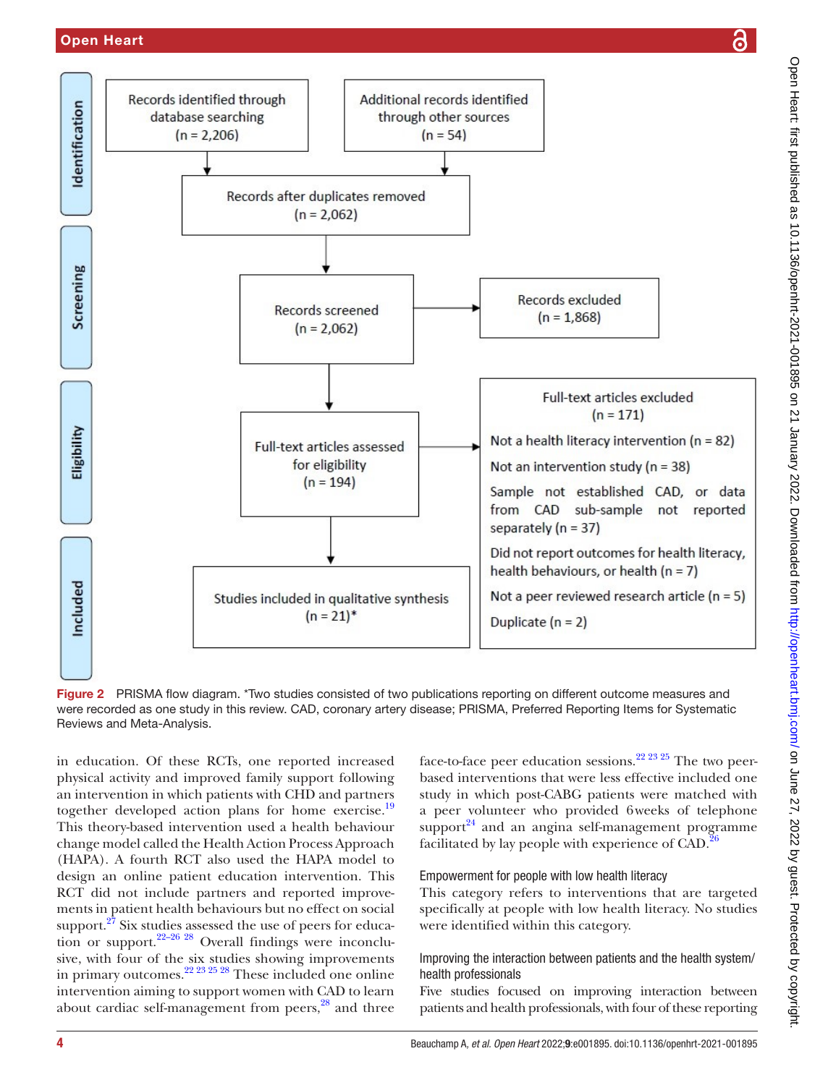## Open Heart



<span id="page-3-0"></span>Figure 2 PRISMA flow diagram. \*Two studies consisted of two publications reporting on different outcome measures and were recorded as one study in this review. CAD, coronary artery disease; PRISMA, Preferred Reporting Items for Systematic Reviews and Meta-Analysis.

in education. Of these RCTs, one reported increased physical activity and improved family support following an intervention in which patients with CHD and partners together developed action plans for home exercise.<sup>[19](#page-8-8)</sup> This theory-based intervention used a health behaviour change model called the Health Action Process Approach (HAPA). A fourth RCT also used the HAPA model to design an online patient education intervention. This RCT did not include partners and reported improvements in patient health behaviours but no effect on social support.<sup>27</sup> Six studies assessed the use of peers for education or support.<sup>22–26</sup> <sup>28</sup> Overall findings were inconclusive, with four of the six studies showing improvements in primary outcomes.<sup>22 23 25 28</sup> These included one online intervention aiming to support women with CAD to learn about cardiac self-management from peers,<sup>28</sup> and three

face-to-face peer education sessions.<sup>22 23 25</sup> The two peerbased interventions that were less effective included one study in which post-CABG patients were matched with a peer volunteer who provided 6weeks of telephone support $^{24}$  and an angina self-management programme facilitated by lay people with experience of CAD.<sup>[26](#page-8-13)</sup>

#### Empowerment for people with low health literacy

This category refers to interventions that are targeted specifically at people with low health literacy. No studies were identified within this category.

## Improving the interaction between patients and the health system/ health professionals

Five studies focused on improving interaction between patients and health professionals, with four of these reporting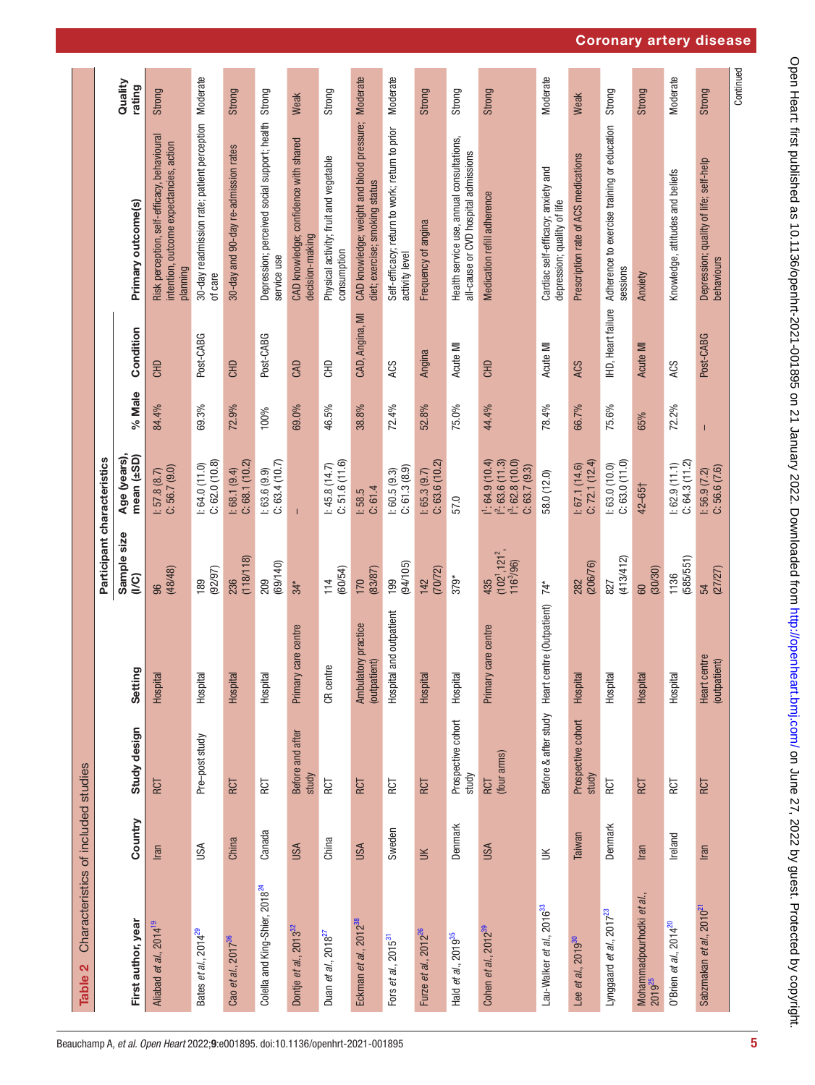<span id="page-4-0"></span>

| Characteristics of included studies<br>Table 2          |            |                             |                                                |                                                 |                                                                       |        |                          |                                                                                                    |                   |
|---------------------------------------------------------|------------|-----------------------------|------------------------------------------------|-------------------------------------------------|-----------------------------------------------------------------------|--------|--------------------------|----------------------------------------------------------------------------------------------------|-------------------|
|                                                         |            |                             |                                                | Participant characteristics                     |                                                                       |        |                          |                                                                                                    |                   |
| First author, year                                      | Country    | Study design                | Setting                                        | Sample size<br>$\widetilde{\mathbb{C}}$         | Age (years),<br>mean (±SD)                                            | % Male | Condition                | Primary outcome(s)                                                                                 | Quality<br>rating |
| Aliabad et al., 2014 <sup>19</sup>                      | Iran       | RCT                         | Hospital                                       | (48/48)<br>96                                   | $1: 57.8 (8.7)$<br>$C: 56.7 (9.0)$                                    | 84.4%  | <b>GHD</b>               | Risk perception, self-efficacy, behavioural<br>intention, outcome expectancies, action<br>planning | Strong            |
| Bates <i>et al.</i> , 2014 <sup>29</sup>                | USA        | Pre-post study              | Hospital                                       | (92/97)<br>189                                  | C: 62.0(10.8)<br>1:64.0(11.0)                                         | 69.3%  | Post-CABG                | 30-day readmission rate; patient perception Moderate<br>of care                                    |                   |
| Cao <i>et al.</i> , 2017 <sup>36</sup>                  | China      | RCT                         | Hospital                                       | (118/118)<br>236                                | C: 68.1(10.2)<br>1:68.1(9.4)                                          | 72.9%  | <b>GHD</b>               | 30-day and 90-day re-admission rates                                                               | Strong            |
| Colella and King-Shier, 2018 <sup>24</sup>              | Canada     | RCT                         | Hospital                                       | (69/140)<br>209                                 | C: 63.4(10.7)<br>1: 63.6 (9.9)                                        | 100%   | Post-CABG                | Depression; perceived social support; health Strong<br>service use                                 |                   |
| Dontje et al., 2013 <sup>32</sup>                       | <b>USA</b> | Before and after<br>study   | care centre<br>Primary                         | $34*$                                           | T                                                                     | 69.0%  | <b>CAD</b>               | CAD knowledge; confidence with shared<br>decision-making                                           | Weak              |
| Duan et al., 2018 <sup>27</sup>                         | China      | RCT                         | e<br>CR cent                                   | (60/54)<br>114                                  | C: 51.6(11.6)<br>1:45.8(14.7)                                         | 46.5%  | 웅                        | Physical activity; fruit and vegetable<br>consumption                                              | Strong            |
| Eckman <i>et al.</i> , 2012 <sup>38</sup>               | USA        | RCT                         | Ambulatory practice<br>(outpatient)            | (83/87)<br>170                                  | C: 61.4<br>1:58.5                                                     | 38.8%  | CAD, Angina, MI          | CAD knowledge; weight and blood pressure; Moderate<br>diet; exercise; smoking status               |                   |
| Fors et al., 2015 <sup>31</sup>                         | Sweden     | RCT                         | Hospital and outpatient                        | (94/105)<br>199                                 | C: 61.3(8.9)<br>1:60.5(9.3)                                           | 72.4%  | ACS                      | Self-efficacy; return to work; return to prior<br>activity level                                   | <b>Moderate</b>   |
| Furze <i>et al.</i> , 2012 <sup>26</sup>                | $\leq$     | RCT                         | Hospital                                       | (70/72)<br>142                                  | C: 63.6(10.2)<br>1:65.3(9.7)                                          | 52.8%  | Angina                   | Frequency of angina                                                                                | Strong            |
| Hald et al., 2019 <sup>35</sup>                         | Denmark    | Prospective cohort<br>study | Hospital                                       | $379*$                                          | 57.0                                                                  | 75.0%  | Acute MI                 | Health service use, annual consultations,<br>all-cause or CVD hospital admissions                  | Strong            |
| Cohen et al., 2012 <sup>39</sup>                        | USA        | (four arms)<br>RCT          | care centre<br>Primary                         | $(102^1, 121^2,$<br>116 <sup>3</sup> /96<br>435 | $1: 64.9(10.4)$<br>$1: 63.6(11.3)$<br>$1: 62.8(10.0)$<br>C: 63.7(9.3) | 44.4%  | <b>GHD</b>               | Medication refill adherence                                                                        | <b>Strong</b>     |
| Lau-Walker et al., 2016 <sup>33</sup>                   | $\leq$     |                             | Before & after study Heart centre (Outpatient) | $74*$                                           | 58.0 (12.0)                                                           | 78.4%  | Acute MI                 | Cardiac self-efficacy; anxiety and<br>depression; quality of life                                  | Moderate          |
| Lee <i>et al.</i> , 2019 <sup>30</sup>                  | Taiwan     | Prospective cohort<br>study | Hospital                                       | (206/76)<br>282                                 | C: 72.1(12.4)<br>1:67.1(14.6)                                         | 66.7%  | ACS                      | Prescription rate of ACS medications                                                               | Weak              |
| Lynggaard et al., 2017 <sup>23</sup>                    | Denmark    | RCT                         | Hospital                                       | (413/412)<br>827                                | C: 63.0(11.0)<br>1:63.0(10.0)                                         | 75.6%  | <b>HD, Heart failure</b> | Adherence to exercise training or education<br>sessions                                            | Strong            |
| Mohammadpourhodki <i>et al.</i> ,<br>2019 <sup>25</sup> | Iran       | RCT                         | Hospital                                       | (30/30)<br>60                                   | 42-65†                                                                | 65%    | Acute MI                 | Anxiety                                                                                            | Strong            |
| 0'Brien et al., 2014 <sup>20</sup>                      | Ireland    | RCT                         | Hospital                                       | (585/551)<br>1136                               | C: 64.3(11.2)<br>1:62.9(11.1)                                         | 72.2%  | ACS                      | Knowledge, attitudes and beliefs                                                                   | Moderate          |
| Sabzmakan et al., 2010 <sup>21</sup>                    | Iran       | RCT                         | Heart centre<br>(outpatient)                   | (27/27)<br>54                                   | $1:56.9(7.2)$<br>C: 56.6 $(7.6)$                                      |        | Post-CABG                | Depression; quality of life; self-help<br>behaviours                                               | Strong            |
|                                                         |            |                             |                                                |                                                 |                                                                       |        |                          |                                                                                                    | Continued         |

Coronary artery disease

Open Heart: first published as 10.1136/openhrt-2021-001895 on 21 January 2022. Downloaded from http://openheart.bmj.com/ on June 27, 2022 by guest. Protected by copyright. Open Heart: first published as 10.1136/openhrt-2021-001895 on 21 January 2022. Downloaded from <http://openheart.bmj.com/> on June 27, 2022 by guest. Protected by copyright.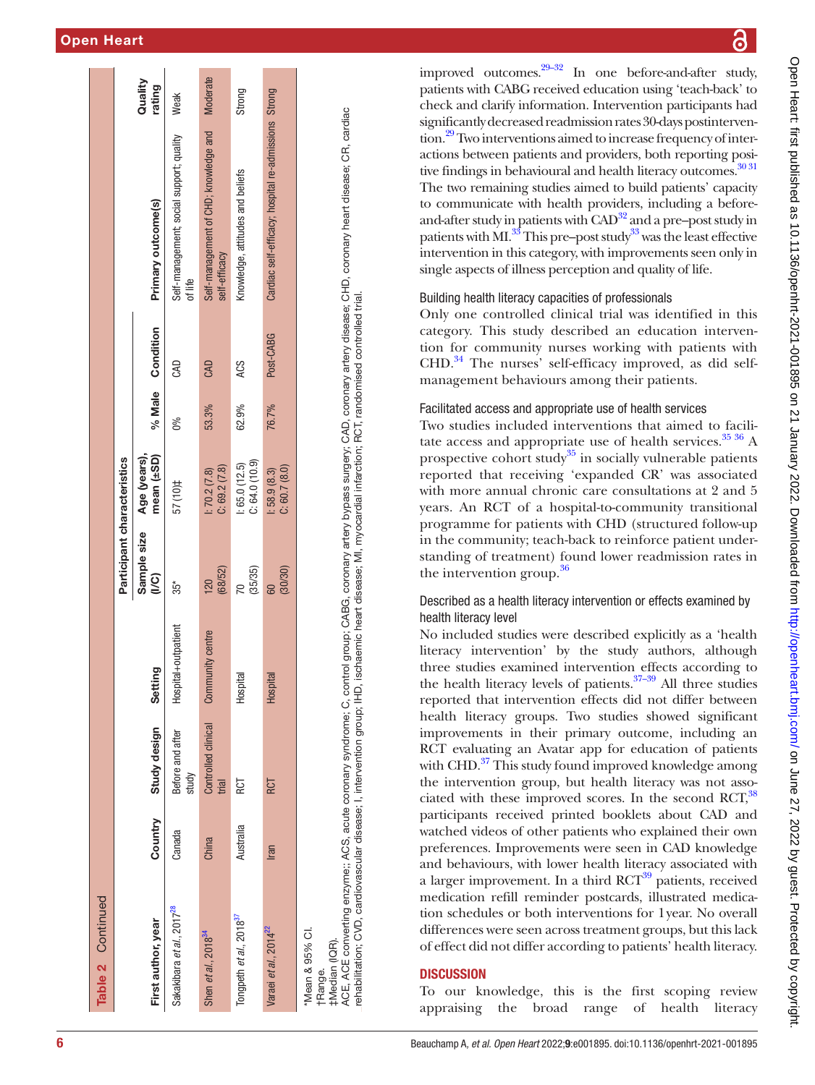| Table 2 Continued                            |           |                              |                       |                               |                               |       |                  |                                                        |                   |
|----------------------------------------------|-----------|------------------------------|-----------------------|-------------------------------|-------------------------------|-------|------------------|--------------------------------------------------------|-------------------|
|                                              |           |                              |                       | Participant characteristics   |                               |       |                  |                                                        |                   |
| First author, year                           | Country   | Study design                 | ing<br>Setti          | Sample size<br>$\overline{2}$ | Age (years),<br>mean (±SD)    |       | % Male Condition | Primary outcome(s)                                     | Quality<br>rating |
| Sakakibara et al., 2017 <sup>28</sup>        | Canada    | Before and after<br>study    | Hospital+outpatient   | $35*$                         | 101) 25                       | 0%    | <b>GAD</b>       | Self-management; social support; quality<br>of life    | Weak              |
| Shen et al., 2018 <sup>34</sup>              | China     | Controlled clinical<br>trial | nunity centre<br>Comr | (68/52)<br>120                | C: 69.2 (7.8)<br>1:70.2(7.8)  | 53.3% | <b>GAD</b>       | Self-management of CHD; knowledge and<br>self-efficacy | <b>Moderate</b>   |
| Tongpeth et al., 2018 <sup>37</sup>          | Australia | RCT                          | Hospital              | (35/35)                       | C: 64.0(10.9)<br>1:65.0(12.5) | 62.9% | ACS              | Knowledge, attitudes and beliefs                       | Strong            |
| Varaei et al., 2014 <sup>22</sup>            | Iran      | RCT                          | Hospital              | (30/30)                       | C: 60.7(8.0)<br>1:58.9(8.3)   | 76.7% | Post-CABG        | Cardiac self-efficacy; hospital re-admissions Strong   |                   |
| *Mean & 95% CI.<br>#Median (IQR).<br>tRange. |           |                              |                       |                               |                               |       |                  |                                                        |                   |

ACE, ACE converting enzyme;; ACS, acute coronary syndrome; C, control group; CABG, coronary artery bypass surgery; CAD, coronary artery disease; CHD, coronary heart disease; CR, cardiac ACE, ACE converting enzyme;; ACS, acute coronary syndrome; C, control group; CABG, coronary artery bypass surgery; CAD, coronary artery disease; CHD, coronary heart disease; CR, cardiac rehabilitation; CVD, cardiovascular disease; I, intervention group; IHD, ischaemic heart disease; MI, myocardial infarction; RCT, randomised controlled trial. rehabilitation; CVD, cardiovascular disease; I, intervention group; IHD, ischaemic heart disease; MI, myocardial infarction; RCT, randomised controlled trial.

Open Heart: first published as 10.1136/openhrt-2021-001895 on 21 January 2022. Downloaded from http://openheart.bmj.com/ on June 27, 2022 by guest. Protected by copyright Open Heart: first published as 10.1136/openhrt-2021-001895 on 21 January 2022. Downloaded from <http://openheart.bmj.com/> on June 27, 2022 by guest. Protected by copyright.

improved outcomes. $29-32$  In one before-and-after study, patients with CABG received education using 'teach-back' to check and clarify information. Intervention participants had significantly decreased readmission rates 30-days postinterven - tion.<sup>[29](#page-8-14)</sup> Two interventions aimed to increase frequency of interactions between patients and providers, both reporting positive findings in behavioural and health literacy outcomes.<sup>30 31</sup> The two remaining studies aimed to build patients' capacity to communicate with health providers, including a beforeand-after study in patients with  $CAD^{32}$  and a pre–post study in patients with MI. $^{33}$  This pre–post study<sup>33</sup> was the least effective intervention in this category, with improvements seen only in single aspects of illness perception and quality of life.

# Building health literacy capacities of professionals

Only one controlled clinical trial was identified in this category. This study described an education interven tion for community nurses working with patients with  $CHD<sup>34</sup>$  The nurses' self-efficacy improved, as did selfmanagement behaviours among their patients.

# Facilitated access and appropriate use of health services

Two studies included interventions that aimed to facili tate access and appropriate use of health services. $3536$  A prospective cohort study<sup>35</sup> in socially vulnerable patients reported that receiving 'expanded CR' was associated with more annual chronic care consultations at 2 and 5 years. An RCT of a hospital-to-community transitional programme for patients with CHD (structured follow-up in the community; teach-back to reinforce patient understanding of treatment) found lower readmission rates in the intervention group.<sup>[36](#page-8-15)</sup>

# Described as a health literacy intervention or effects examined by health literacy level

No included studies were described explicitly as a 'health literacy intervention' by the study authors, although three studies examined intervention effects according to the health literacy levels of patients. $37-39$  All three studies reported that intervention effects did not differ between health literacy groups. Two studies showed significant improvements in their primary outcome, including an RCT evaluating an Avatar app for education of patients with CHD.<sup>37</sup> This study found improved knowledge among the intervention group, but health literacy was not asso ciated with these improved scores. In the second RCT,<sup>38</sup> participants received printed booklets about CAD and watched videos of other patients who explained their own preferences. Improvements were seen in CAD knowledge and behaviours, with lower health literacy associated with a larger improvement. In a third RCT<sup>[39](#page-8-20)</sup> patients, received medication refill reminder postcards, illustrated medication schedules or both interventions for 1year. No overall differences were seen across treatment groups, but this lack of effect did not differ according to patients' health literacy.

# **DISCUSSION**

To our knowledge, this is the first scoping review appraising the broad range of health literacy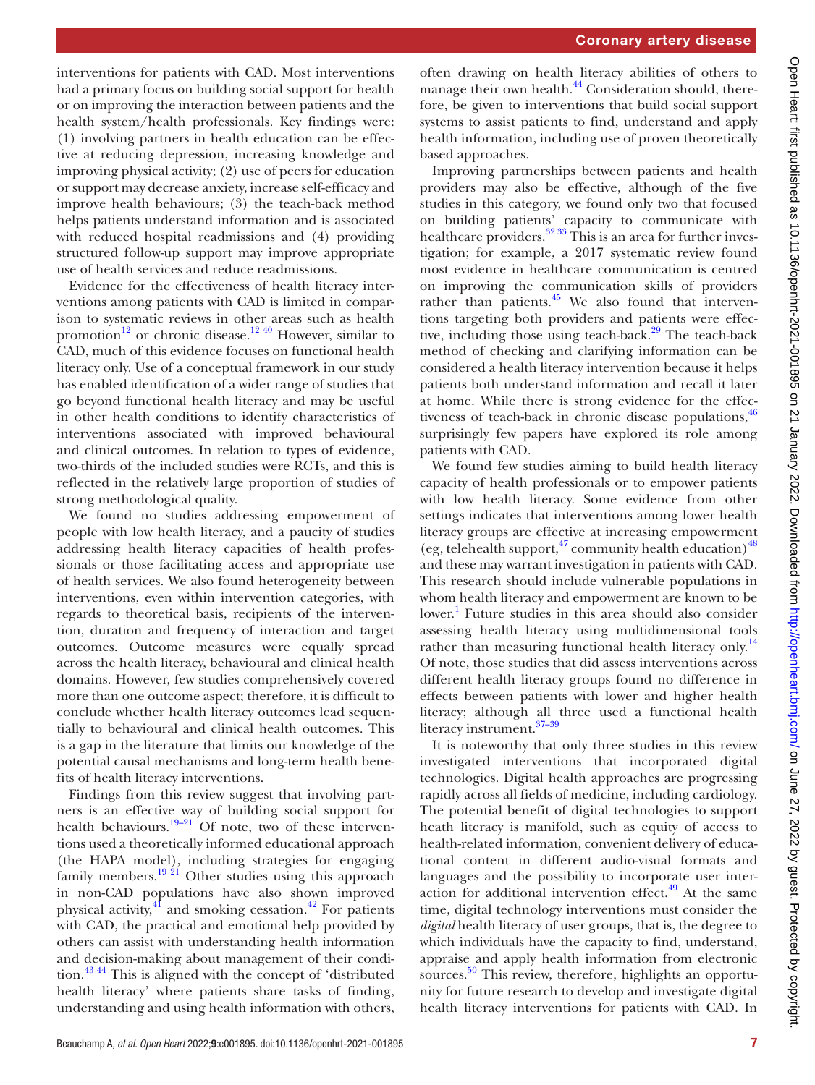interventions for patients with CAD. Most interventions had a primary focus on building social support for health or on improving the interaction between patients and the health system/health professionals. Key findings were: (1) involving partners in health education can be effective at reducing depression, increasing knowledge and improving physical activity; (2) use of peers for education or support may decrease anxiety, increase self-efficacy and improve health behaviours; (3) the teach-back method helps patients understand information and is associated with reduced hospital readmissions and (4) providing structured follow-up support may improve appropriate use of health services and reduce readmissions.

Evidence for the effectiveness of health literacy interventions among patients with CAD is limited in comparison to systematic reviews in other areas such as health promotion<sup>12</sup> or chronic disease.<sup>[12](#page-8-2) 40</sup> However, similar to CAD, much of this evidence focuses on functional health literacy only. Use of a conceptual framework in our study has enabled identification of a wider range of studies that go beyond functional health literacy and may be useful in other health conditions to identify characteristics of interventions associated with improved behavioural and clinical outcomes. In relation to types of evidence, two-thirds of the included studies were RCTs, and this is reflected in the relatively large proportion of studies of strong methodological quality.

We found no studies addressing empowerment of people with low health literacy, and a paucity of studies addressing health literacy capacities of health professionals or those facilitating access and appropriate use of health services. We also found heterogeneity between interventions, even within intervention categories, with regards to theoretical basis, recipients of the intervention, duration and frequency of interaction and target outcomes. Outcome measures were equally spread across the health literacy, behavioural and clinical health domains. However, few studies comprehensively covered more than one outcome aspect; therefore, it is difficult to conclude whether health literacy outcomes lead sequentially to behavioural and clinical health outcomes. This is a gap in the literature that limits our knowledge of the potential causal mechanisms and long-term health benefits of health literacy interventions.

Findings from this review suggest that involving partners is an effective way of building social support for health behaviours.<sup>[19–21](#page-8-8)</sup> Of note, two of these interventions used a theoretically informed educational approach (the HAPA model), including strategies for engaging family members.<sup>[19 21](#page-8-8)</sup> Other studies using this approach in non-CAD populations have also shown improved physical activity,<sup>[41](#page-8-29)</sup> and smoking cessation.<sup>42</sup> For patients with CAD, the practical and emotional help provided by others can assist with understanding health information and decision-making about management of their condition.[43 44](#page-8-31) This is aligned with the concept of 'distributed health literacy' where patients share tasks of finding, understanding and using health information with others,

often drawing on health literacy abilities of others to manage their own health.<sup>44</sup> Consideration should, therefore, be given to interventions that build social support systems to assist patients to find, understand and apply health information, including use of proven theoretically based approaches.

Improving partnerships between patients and health providers may also be effective, although of the five studies in this category, we found only two that focused on building patients' capacity to communicate with healthcare providers.<sup>32</sup>  $33 \text{ This}$  is an area for further investigation; for example, a 2017 systematic review found most evidence in healthcare communication is centred on improving the communication skills of providers rather than patients.<sup>45</sup> We also found that interventions targeting both providers and patients were effective, including those using teach-back.<sup>29</sup> The teach-back method of checking and clarifying information can be considered a health literacy intervention because it helps patients both understand information and recall it later at home. While there is strong evidence for the effectiveness of teach-back in chronic disease populations,  $46$ surprisingly few papers have explored its role among patients with CAD.

We found few studies aiming to build health literacy capacity of health professionals or to empower patients with low health literacy. Some evidence from other settings indicates that interventions among lower health literacy groups are effective at increasing empowerment (eg, telehealth support,  $\frac{47}{12}$  community health education)  $\frac{48}{12}$  $\frac{48}{12}$  $\frac{48}{12}$ and these may warrant investigation in patients with CAD. This research should include vulnerable populations in whom health literacy and empowerment are known to be lower.<sup>1</sup> Future studies in this area should also consider assessing health literacy using multidimensional tools rather than measuring functional health literacy only.<sup>[14](#page-8-37)</sup> Of note, those studies that did assess interventions across different health literacy groups found no difference in effects between patients with lower and higher health literacy; although all three used a functional health literacy instrument.<sup>37-39</sup>

It is noteworthy that only three studies in this review investigated interventions that incorporated digital technologies. Digital health approaches are progressing rapidly across all fields of medicine, including cardiology. The potential benefit of digital technologies to support heath literacy is manifold, such as equity of access to health-related information, convenient delivery of educational content in different audio-visual formats and languages and the possibility to incorporate user interaction for additional intervention effect. $49$  At the same time, digital technology interventions must consider the *digital* health literacy of user groups, that is, the degree to which individuals have the capacity to find, understand, appraise and apply health information from electronic sources.<sup>50</sup> This review, therefore, highlights an opportunity for future research to develop and investigate digital health literacy interventions for patients with CAD. In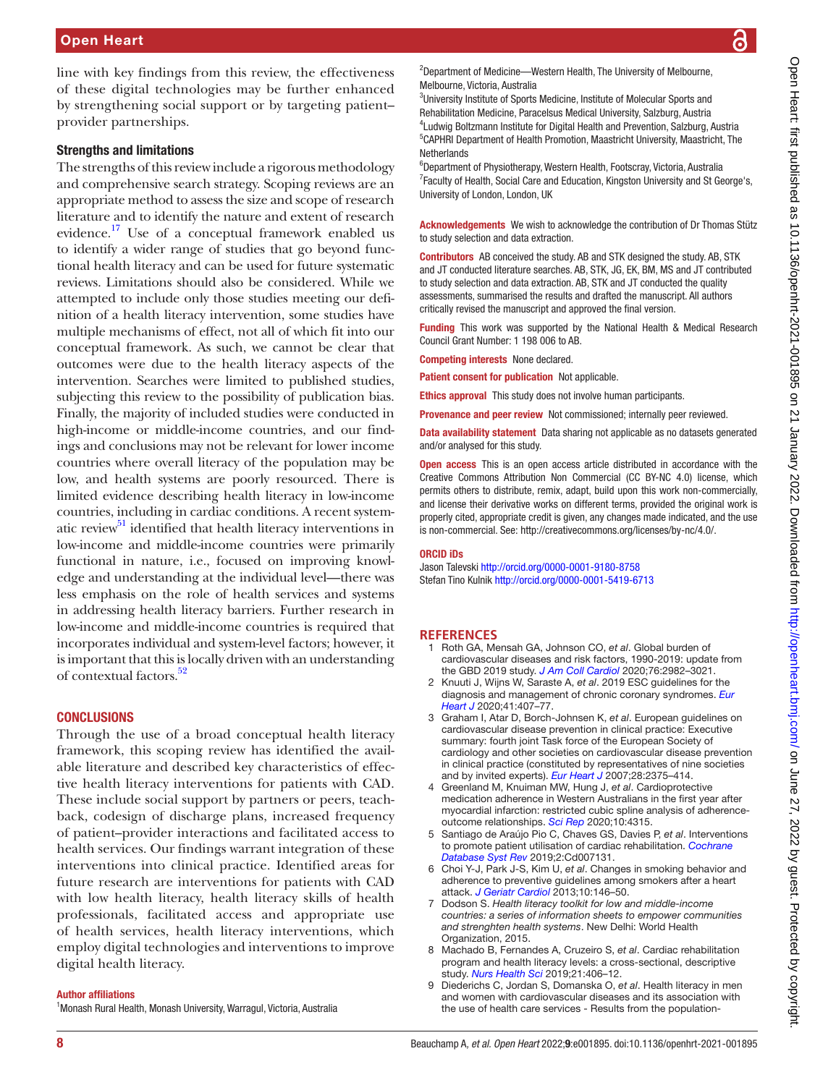line with key findings from this review, the effectiveness of these digital technologies may be further enhanced by strengthening social support or by targeting patient– provider partnerships.

#### Strengths and limitations

The strengths of this review include a rigorous methodology and comprehensive search strategy. Scoping reviews are an appropriate method to assess the size and scope of research literature and to identify the nature and extent of research evidence.<sup>17</sup> Use of a conceptual framework enabled us to identify a wider range of studies that go beyond functional health literacy and can be used for future systematic reviews. Limitations should also be considered. While we attempted to include only those studies meeting our definition of a health literacy intervention, some studies have multiple mechanisms of effect, not all of which fit into our conceptual framework. As such, we cannot be clear that outcomes were due to the health literacy aspects of the intervention. Searches were limited to published studies, subjecting this review to the possibility of publication bias. Finally, the majority of included studies were conducted in high-income or middle-income countries, and our findings and conclusions may not be relevant for lower income countries where overall literacy of the population may be low, and health systems are poorly resourced. There is limited evidence describing health literacy in low-income countries, including in cardiac conditions. A recent system-atic review<sup>[51](#page-8-40)</sup> identified that health literacy interventions in low-income and middle-income countries were primarily functional in nature, i.e., focused on improving knowledge and understanding at the individual level—there was less emphasis on the role of health services and systems in addressing health literacy barriers. Further research in low-income and middle-income countries is required that incorporates individual and system-level factors; however, it is important that this is locally driven with an understanding of contextual factors.<sup>52</sup>

#### **CONCLUSIONS**

Through the use of a broad conceptual health literacy framework, this scoping review has identified the available literature and described key characteristics of effective health literacy interventions for patients with CAD. These include social support by partners or peers, teachback, codesign of discharge plans, increased frequency of patient–provider interactions and facilitated access to health services. Our findings warrant integration of these interventions into clinical practice. Identified areas for future research are interventions for patients with CAD with low health literacy, health literacy skills of health professionals, facilitated access and appropriate use of health services, health literacy interventions, which employ digital technologies and interventions to improve digital health literacy.

#### Author affiliations

<sup>1</sup> Monash Rural Health, Monash University, Warragul, Victoria, Australia

<sup>2</sup>Department of Medicine-Western Health, The University of Melbourne, Melbourne, Victoria, Australia

<sup>3</sup>University Institute of Sports Medicine, Institute of Molecular Sports and Rehabilitation Medicine, Paracelsus Medical University, Salzburg, Austria <sup>4</sup>Ludwig Boltzmann Institute for Digital Health and Prevention, Salzburg, Austria 5 CAPHRI Department of Health Promotion, Maastricht University, Maastricht, The **Netherlands** 

6 Department of Physiotherapy, Western Health, Footscray, Victoria, Australia <sup>7</sup> Faculty of Health, Social Care and Education, Kingston University and St George's, University of London, London, UK

Acknowledgements We wish to acknowledge the contribution of Dr Thomas Stütz to study selection and data extraction.

Contributors AB conceived the study. AB and STK designed the study. AB, STK and JT conducted literature searches. AB, STK, JG, EK, BM, MS and JT contributed to study selection and data extraction. AB, STK and JT conducted the quality assessments, summarised the results and drafted the manuscript. All authors critically revised the manuscript and approved the final version.

Funding This work was supported by the National Health & Medical Research Council Grant Number: 1 198 006 to AB.

Competing interests None declared.

Patient consent for publication Not applicable.

Ethics approval This study does not involve human participants.

Provenance and peer review Not commissioned; internally peer reviewed.

Data availability statement Data sharing not applicable as no datasets generated and/or analysed for this study.

Open access This is an open access article distributed in accordance with the Creative Commons Attribution Non Commercial (CC BY-NC 4.0) license, which permits others to distribute, remix, adapt, build upon this work non-commercially, and license their derivative works on different terms, provided the original work is properly cited, appropriate credit is given, any changes made indicated, and the use is non-commercial. See: [http://creativecommons.org/licenses/by-nc/4.0/.](http://creativecommons.org/licenses/by-nc/4.0/)

#### ORCID iDs

Jason Talevski <http://orcid.org/0000-0001-9180-8758> Stefan Tino Kulnik <http://orcid.org/0000-0001-5419-6713>

#### **REFERENCES**

- <span id="page-7-0"></span>1 Roth GA, Mensah GA, Johnson CO, *et al*. Global burden of cardiovascular diseases and risk factors, 1990-2019: update from the GBD 2019 study. *[J Am Coll Cardiol](http://dx.doi.org/10.1016/j.jacc.2020.11.010)* 2020;76:2982–3021.
- <span id="page-7-1"></span>2 Knuuti J, Wijns W, Saraste A, *et al*. 2019 ESC guidelines for the diagnosis and management of chronic coronary syndromes. *[Eur](http://dx.doi.org/10.1093/eurheartj/ehz425)  [Heart J](http://dx.doi.org/10.1093/eurheartj/ehz425)* 2020;41:407–77.
- <span id="page-7-2"></span>3 Graham I, Atar D, Borch-Johnsen K, *et al*. European guidelines on cardiovascular disease prevention in clinical practice: Executive summary: fourth joint Task force of the European Society of cardiology and other societies on cardiovascular disease prevention in clinical practice (constituted by representatives of nine societies and by invited experts). *[Eur Heart J](http://dx.doi.org/10.1093/eurheartj/ehm316)* 2007;28:2375–414.
- <span id="page-7-3"></span>4 Greenland M, Knuiman MW, Hung J, *et al*. Cardioprotective medication adherence in Western Australians in the first year after myocardial infarction: restricted cubic spline analysis of adherenceoutcome relationships. *[Sci Rep](http://dx.doi.org/10.1038/s41598-020-60799-5)* 2020;10:4315.
- <span id="page-7-4"></span>5 Santiago de Araújo Pio C, Chaves GS, Davies P, *et al*. Interventions to promote patient utilisation of cardiac rehabilitation. *[Cochrane](http://dx.doi.org/10.1002/14651858.CD007131.pub4)  [Database Syst Rev](http://dx.doi.org/10.1002/14651858.CD007131.pub4)* 2019;2:Cd007131.
- <span id="page-7-5"></span>6 Choi Y-J, Park J-S, Kim U, *et al*. Changes in smoking behavior and adherence to preventive guidelines among smokers after a heart attack. *[J Geriatr Cardiol](http://dx.doi.org/10.3969/j.issn.1671-5411.2013.02.006)* 2013;10:146–50.
- <span id="page-7-6"></span>7 Dodson S. *Health literacy toolkit for low and middle-income countries: a series of information sheets to empower communities and strenghten health systems*. New Delhi: World Health Organization, 2015.
- <span id="page-7-7"></span>8 Machado B, Fernandes A, Cruzeiro S, *et al*. Cardiac rehabilitation program and health literacy levels: a cross-sectional, descriptive study. *[Nurs Health Sci](http://dx.doi.org/10.1111/nhs.12615)* 2019;21:406–12.
- 9 Diederichs C, Jordan S, Domanska O, *et al*. Health literacy in men and women with cardiovascular diseases and its association with the use of health care services - Results from the population-